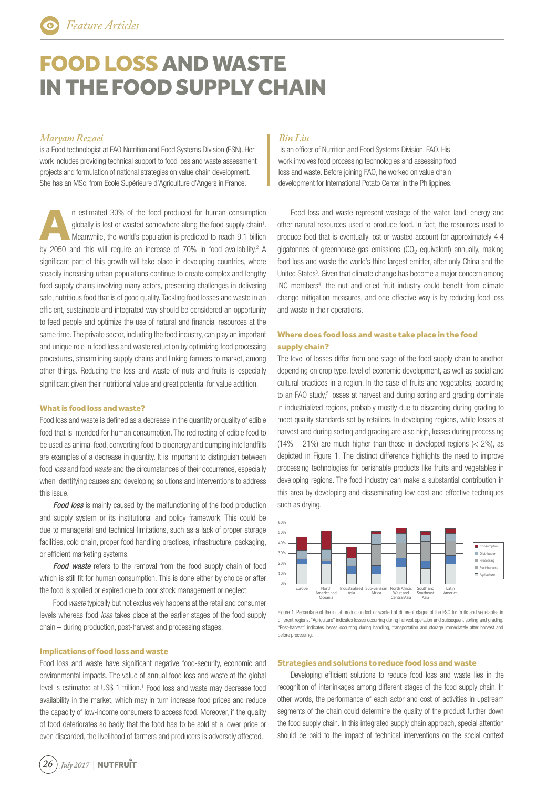# FOOD LOSS AND WASTE IN THE FOOD SUPPLY CHAIN

# *Maryam Rezaei*

is a Food technologist at FAO Nutrition and Food Systems Division (ESN). Her work includes providing technical support to food loss and waste assessment projects and formulation of national strategies on value chain development. She has an MSc. from Ecole Supérieure d'Agriculture d'Angers in France.

A n estimated 30% of the food produced for human consumption globally is lost or wasted somewhere along the food supply chain<sup>1</sup>. Meanwhile, the world's population is predicted to reach 9.1 billion by 2050 and this will require an increase of  $70\%$  in food availability.<sup>2</sup> A significant part of this growth will take place in developing countries, where steadily increasing urban populations continue to create complex and lengthy food supply chains involving many actors, presenting challenges in delivering safe, nutritious food that is of good quality. Tackling food losses and waste in an efficient, sustainable and integrated way should be considered an opportunity to feed people and optimize the use of natural and financial resources at the same time. The private sector, including the food industry, can play an important and unique role in food loss and waste reduction by optimizing food processing procedures, streamlining supply chains and linking farmers to market, among other things. Reducing the loss and waste of nuts and fruits is especially significant given their nutritional value and great potential for value addition.

### What is food loss and waste?

Food loss and waste is defined as a decrease in the quantity or quality of edible food that is intended for human consumption. The redirecting of edible food to be used as animal feed, converting food to bioenergy and dumping into landfills are examples of a decrease in quantity. It is important to distinguish between food loss and food waste and the circumstances of their occurrence, especially when identifying causes and developing solutions and interventions to address this issue.

Food loss is mainly caused by the malfunctioning of the food production and supply system or its institutional and policy framework. This could be due to managerial and technical limitations, such as a lack of proper storage facilities, cold chain, proper food handling practices, infrastructure, packaging, or efficient marketing systems.

Food waste refers to the removal from the food supply chain of food which is still fit for human consumption. This is done either by choice or after the food is spoiled or expired due to poor stock management or neglect.

Food waste typically but not exclusively happens at the retail and consumer levels whereas food *loss* takes place at the earlier stages of the food supply chain – during production, post-harvest and processing stages.

#### Implications of food loss and waste

Food loss and waste have significant negative food-security, economic and environmental impacts. The value of annual food loss and waste at the global level is estimated at US\$ 1 trillion.<sup>1</sup> Food loss and waste may decrease food availability in the market, which may in turn increase food prices and reduce the capacity of low-income consumers to access food. Moreover, if the quality of food deteriorates so badly that the food has to be sold at a lower price or even discarded, the livelihood of farmers and producers is adversely affected.

## *Bin Liu*

is an officer of Nutrition and Food Systems Division, FAO. His work involves food processing technologies and assessing food loss and waste. Before joining FAO, he worked on value chain development for International Potato Center in the Philippines.

Food loss and waste represent wastage of the water, land, energy and other natural resources used to produce food. In fact, the resources used to produce food that is eventually lost or wasted account for approximately 4.4 gigatonnes of greenhouse gas emissions (CO<sub>2</sub> equivalent) annually, making food loss and waste the world's third largest emitter, after only China and the United States<sup>3</sup>. Given that climate change has become a major concern among INC members<sup>4</sup>, the nut and dried fruit industry could benefit from climate change mitigation measures, and one effective way is by reducing food loss and waste in their operations.

## Where does food loss and waste take place in the food supply chain?

The level of losses differ from one stage of the food supply chain to another, depending on crop type, level of economic development, as well as social and cultural practices in a region. In the case of fruits and vegetables, according to an FAO study,<sup>5</sup> losses at harvest and during sorting and grading dominate in industrialized regions, probably mostly due to discarding during grading to meet quality standards set by retailers. In developing regions, while losses at harvest and during sorting and grading are also high, losses during processing  $(14% - 21%)$  are much higher than those in developed regions (< 2%), as depicted in Figure 1. The distinct difference highlights the need to improve processing technologies for perishable products like fruits and vegetables in developing regions. The food industry can make a substantial contribution in this area by developing and disseminating low-cost and effective techniques such as drying.



Figure 1. Percentage of the initial production lost or wasted at different stages of the FSC for fruits and vegetables in different regions. "Agriculture" indicates losses occurring during harvest operation and subsequent sorting and grading. "Post-harvest" indicates losses occurring during handling, transportation and storage immediately after harvest and before processing.

#### Strategies and solutions to reduce food loss and waste

Developing efficient solutions to reduce food loss and waste lies in the recognition of interlinkages among different stages of the food supply chain. In other words, the performance of each actor and cost of activities in upstream segments of the chain could determine the quality of the product further down the food supply chain. In this integrated supply chain approach, special attention should be paid to the impact of technical interventions on the social context